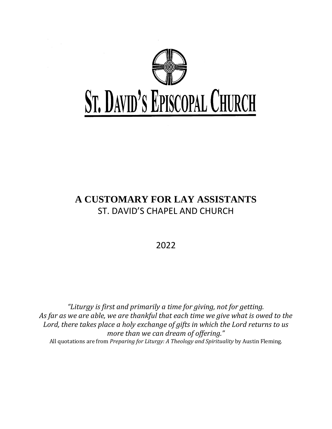

# **A CUSTOMARY FOR LAY ASSISTANTS** ST. DAVID'S CHAPEL AND CHURCH

2022

*"Liturgy is first and primarily a time for giving, not for getting. As far as we are able, we are thankful that each time we give what is owed to the Lord, there takes place a holy exchange of gifts in which the Lord returns to us more than we can dream of offering."* All quotations are from *Preparing for Liturgy: A Theology and Spirituality* by Austin Fleming.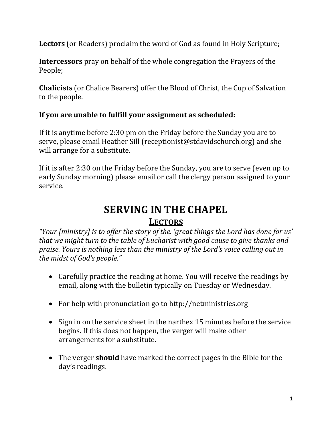**Lectors** (or Readers) proclaim the word of God as found in Holy Scripture;

**Intercessors** pray on behalf of the whole congregation the Prayers of the People;

**Chalicists** (or Chalice Bearers) offer the Blood of Christ, the Cup of Salvation to the people.

## **If you are unable to fulfill your assignment as scheduled:**

If it is anytime before 2:30 pm on the Friday before the Sunday you are to serve, please email Heather Sill (receptionist@stdavidschurch.org) and she will arrange for a substitute.

If it is after 2:30 on the Friday before the Sunday, you are to serve (even up to early Sunday morning) please email or call the clergy person assigned to your service.

# **SERVING IN THE CHAPEL LECTORS**

*"Your [ministry] is to offer the story of the. 'great things the Lord has done for us' that we might turn to the table of Eucharist with good cause to give thanks and praise. Yours is nothing less than the ministry of the Lord's voice calling out in the midst of God's people."* 

- Carefully practice the reading at home. You will receive the readings by email, along with the bulletin typically on Tuesday or Wednesday.
- For help with pronunciation go to http://netministries.org
- Sign in on the service sheet in the narthex 15 minutes before the service begins. If this does not happen, the verger will make other arrangements for a substitute.
- The verger **should** have marked the correct pages in the Bible for the day's readings.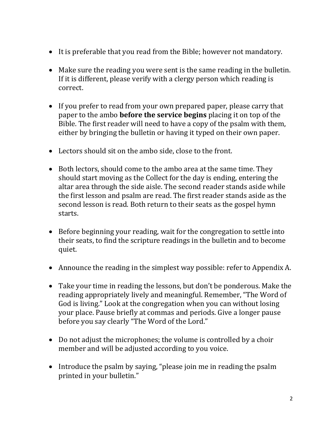- It is preferable that you read from the Bible; however not mandatory.
- Make sure the reading you were sent is the same reading in the bulletin. If it is different, please verify with a clergy person which reading is correct.
- If you prefer to read from your own prepared paper, please carry that paper to the ambo **before the service begins** placing it on top of the Bible. The first reader will need to have a copy of the psalm with them, either by bringing the bulletin or having it typed on their own paper.
- Lectors should sit on the ambo side, close to the front.
- Both lectors, should come to the ambo area at the same time. They should start moving as the Collect for the day is ending, entering the altar area through the side aisle. The second reader stands aside while the first lesson and psalm are read. The first reader stands aside as the second lesson is read. Both return to their seats as the gospel hymn starts.
- Before beginning your reading, wait for the congregation to settle into their seats, to find the scripture readings in the bulletin and to become quiet.
- Announce the reading in the simplest way possible: refer to Appendix A.
- Take your time in reading the lessons, but don't be ponderous. Make the reading appropriately lively and meaningful. Remember, "The Word of God is living." Look at the congregation when you can without losing your place. Pause briefly at commas and periods. Give a longer pause before you say clearly "The Word of the Lord."
- Do not adjust the microphones; the volume is controlled by a choir member and will be adjusted according to you voice.
- Introduce the psalm by saying, "please join me in reading the psalm printed in your bulletin."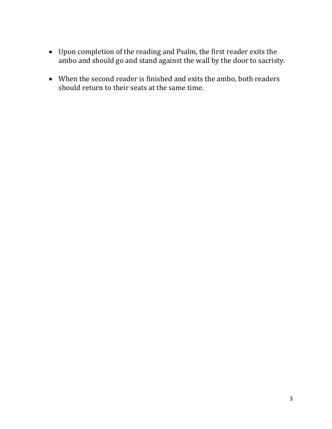- Upon completion of the reading and Psalm, the first reader exits the ambo and should go and stand against the wall by the door to sacristy.
- When the second reader is finished and exits the ambo, both readers should return to their seats at the same time.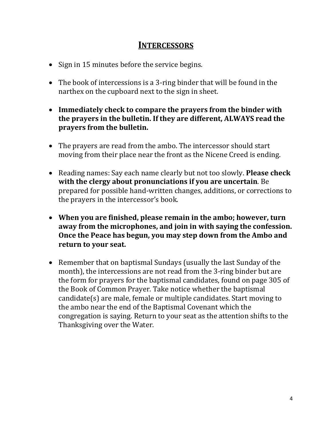## **INTERCESSORS**

- Sign in 15 minutes before the service begins.
- The book of intercessions is a 3-ring binder that will be found in the narthex on the cupboard next to the sign in sheet.
- **Immediately check to compare the prayers from the binder with the prayers in the bulletin. If they are different, ALWAYS read the prayers from the bulletin.**
- The prayers are read from the ambo. The intercessor should start moving from their place near the front as the Nicene Creed is ending.
- Reading names: Say each name clearly but not too slowly. **Please check with the clergy about pronunciations if you are uncertain**. Be prepared for possible hand-written changes, additions, or corrections to the prayers in the intercessor's book.
- **When you are finished, please remain in the ambo; however, turn away from the microphones, and join in with saying the confession. Once the Peace has begun, you may step down from the Ambo and return to your seat.**
- Remember that on baptismal Sundays (usually the last Sunday of the month), the intercessions are not read from the 3-ring binder but are the form for prayers for the baptismal candidates, found on page 305 of the Book of Common Prayer. Take notice whether the baptismal candidate(s) are male, female or multiple candidates. Start moving to the ambo near the end of the Baptismal Covenant which the congregation is saying. Return to your seat as the attention shifts to the Thanksgiving over the Water.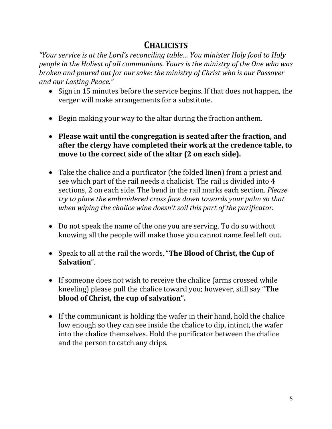# **CHALICISTS**

*"Your service is at the Lord's reconciling table… You minister Holy food to Holy people in the Holiest of all communions. Yours is the ministry of the One who was broken and poured out for our sake: the ministry of Christ who is our Passover and our Lasting Peace."* 

- Sign in 15 minutes before the service begins. If that does not happen, the verger will make arrangements for a substitute.
- Begin making your way to the altar during the fraction anthem.
- **Please wait until the congregation is seated after the fraction, and after the clergy have completed their work at the credence table, to move to the correct side of the altar (2 on each side).**
- Take the chalice and a purificator (the folded linen) from a priest and see which part of the rail needs a chalicist. The rail is divided into 4 sections, 2 on each side. The bend in the rail marks each section. *Please try to place the embroidered cross face down towards your palm so that when wiping the chalice wine doesn't soil this part of the purificator.*
- Do not speak the name of the one you are serving. To do so without knowing all the people will make those you cannot name feel left out.
- Speak to all at the rail the words, "**The Blood of Christ, the Cup of Salvation**".
- If someone does not wish to receive the chalice (arms crossed while kneeling) please pull the chalice toward you; however, still say "**The blood of Christ, the cup of salvation".**
- If the communicant is holding the wafer in their hand, hold the chalice low enough so they can see inside the chalice to dip, intinct, the wafer into the chalice themselves. Hold the purificator between the chalice and the person to catch any drips.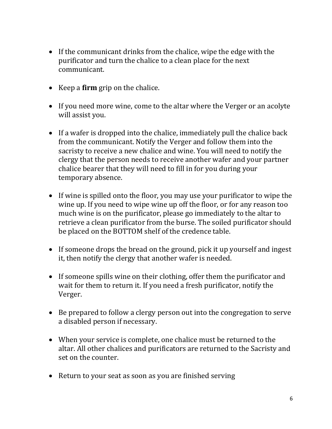- If the communicant drinks from the chalice, wipe the edge with the purificator and turn the chalice to a clean place for the next communicant.
- Keep a **firm** grip on the chalice.
- If you need more wine, come to the altar where the Verger or an acolyte will assist you.
- If a wafer is dropped into the chalice, immediately pull the chalice back from the communicant. Notify the Verger and follow them into the sacristy to receive a new chalice and wine. You will need to notify the clergy that the person needs to receive another wafer and your partner chalice bearer that they will need to fill in for you during your temporary absence.
- If wine is spilled onto the floor, you may use your purificator to wipe the wine up. If you need to wipe wine up off the floor, or for any reason too much wine is on the purificator, please go immediately to the altar to retrieve a clean purificator from the burse. The soiled purificator should be placed on the BOTTOM shelf of the credence table.
- If someone drops the bread on the ground, pick it up yourself and ingest it, then notify the clergy that another wafer is needed.
- If someone spills wine on their clothing, offer them the purificator and wait for them to return it. If you need a fresh purificator, notify the Verger.
- Be prepared to follow a clergy person out into the congregation to serve a disabled person if necessary.
- When your service is complete, one chalice must be returned to the altar. All other chalices and purificators are returned to the Sacristy and set on the counter.
- Return to your seat as soon as you are finished serving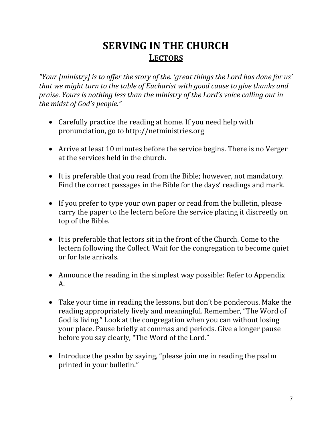# **SERVING IN THE CHURCH LECTORS**

*"Your [ministry] is to offer the story of the. 'great things the Lord has done for us' that we might turn to the table of Eucharist with good cause to give thanks and praise. Yours is nothing less than the ministry of the Lord's voice calling out in the midst of God's people."* 

- Carefully practice the reading at home. If you need help with pronunciation, go to http://netministries.org
- Arrive at least 10 minutes before the service begins. There is no Verger at the services held in the church.
- It is preferable that you read from the Bible; however, not mandatory. Find the correct passages in the Bible for the days' readings and mark.
- If you prefer to type your own paper or read from the bulletin, please carry the paper to the lectern before the service placing it discreetly on top of the Bible.
- It is preferable that lectors sit in the front of the Church. Come to the lectern following the Collect. Wait for the congregation to become quiet or for late arrivals.
- Announce the reading in the simplest way possible: Refer to Appendix A.
- Take your time in reading the lessons, but don't be ponderous. Make the reading appropriately lively and meaningful. Remember, "The Word of God is living." Look at the congregation when you can without losing your place. Pause briefly at commas and periods. Give a longer pause before you say clearly, "The Word of the Lord."
- Introduce the psalm by saying, "please join me in reading the psalm printed in your bulletin."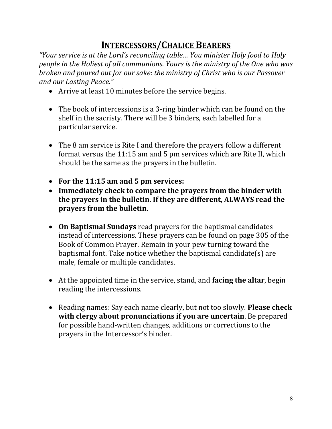# **INTERCESSORS/CHALICE BEARERS**

*"Your service is at the Lord's reconciling table… You minister Holy food to Holy people in the Holiest of all communions. Yours is the ministry of the One who was broken and poured out for our sake: the ministry of Christ who is our Passover and our Lasting Peace."* 

- Arrive at least 10 minutes before the service begins.
- The book of intercessions is a 3-ring binder which can be found on the shelf in the sacristy. There will be 3 binders, each labelled for a particular service.
- The 8 am service is Rite I and therefore the prayers follow a different format versus the 11:15 am and 5 pm services which are Rite II, which should be the same as the prayers in the bulletin.
- **For the 11:15 am and 5 pm services:**
- **Immediately check to compare the prayers from the binder with the prayers in the bulletin. If they are different, ALWAYS read the prayers from the bulletin.**
- **On Baptismal Sundays** read prayers for the baptismal candidates instead of intercessions. These prayers can be found on page 305 of the Book of Common Prayer. Remain in your pew turning toward the baptismal font. Take notice whether the baptismal candidate(s) are male, female or multiple candidates.
- At the appointed time in the service, stand, and **facing the altar**, begin reading the intercessions.
- Reading names: Say each name clearly, but not too slowly. **Please check with clergy about pronunciations if you are uncertain**. Be prepared for possible hand-written changes, additions or corrections to the prayers in the Intercessor's binder.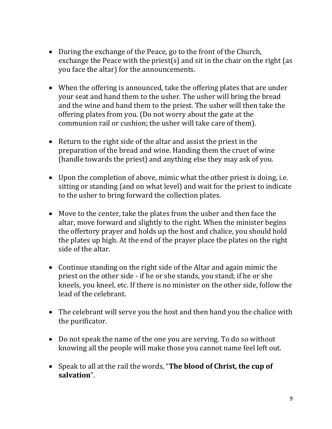- During the exchange of the Peace, go to the front of the Church, exchange the Peace with the priest(s) and sit in the chair on the right (as you face the altar) for the announcements.
- When the offering is announced, take the offering plates that are under your seat and hand them to the usher. The usher will bring the bread and the wine and hand them to the priest. The usher will then take the offering plates from you. (Do not worry about the gate at the communion rail or cushion; the usher will take care of them).
- Return to the right side of the altar and assist the priest in the preparation of the bread and wine. Handing them the cruet of wine (handle towards the priest) and anything else they may ask of you.
- Upon the completion of above, mimic what the other priest is doing, i.e. sitting or standing (and on what level) and wait for the priest to indicate to the usher to bring forward the collection plates.
- Move to the center, take the plates from the usher and then face the altar, move forward and slightly to the right. When the minister begins the offertory prayer and holds up the host and chalice, you should hold the plates up high. At the end of the prayer place the plates on the right side of the altar.
- Continue standing on the right side of the Altar and again mimic the priest on the other side - if he or she stands, you stand; if he or she kneels, you kneel, etc. If there is no minister on the other side, follow the lead of the celebrant.
- The celebrant will serve you the host and then hand you the chalice with the purificator.
- Do not speak the name of the one you are serving. To do so without knowing all the people will make those you cannot name feel left out.
- Speak to all at the rail the words, "**The blood of Christ, the cup of salvation**".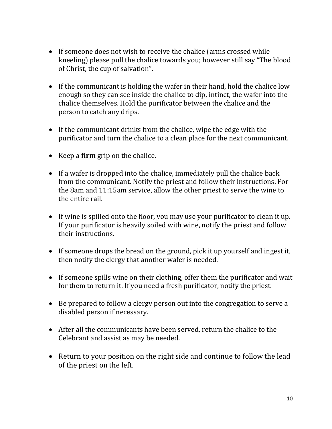- If someone does not wish to receive the chalice (arms crossed while kneeling) please pull the chalice towards you; however still say "The blood of Christ, the cup of salvation".
- If the communicant is holding the wafer in their hand, hold the chalice low enough so they can see inside the chalice to dip, intinct, the wafer into the chalice themselves. Hold the purificator between the chalice and the person to catch any drips.
- If the communicant drinks from the chalice, wipe the edge with the purificator and turn the chalice to a clean place for the next communicant.
- Keep a **firm** grip on the chalice.
- If a wafer is dropped into the chalice, immediately pull the chalice back from the communicant. Notify the priest and follow their instructions. For the 8am and 11:15am service, allow the other priest to serve the wine to the entire rail.
- If wine is spilled onto the floor, you may use your purificator to clean it up. If your purificator is heavily soiled with wine, notify the priest and follow their instructions.
- If someone drops the bread on the ground, pick it up yourself and ingest it, then notify the clergy that another wafer is needed.
- If someone spills wine on their clothing, offer them the purificator and wait for them to return it. If you need a fresh purificator, notify the priest.
- Be prepared to follow a clergy person out into the congregation to serve a disabled person if necessary.
- After all the communicants have been served, return the chalice to the Celebrant and assist as may be needed.
- Return to your position on the right side and continue to follow the lead of the priest on the left.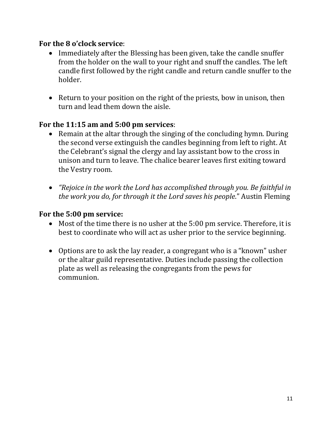#### **For the 8 o'clock service**:

- Immediately after the Blessing has been given, take the candle snuffer from the holder on the wall to your right and snuff the candles. The left candle first followed by the right candle and return candle snuffer to the holder.
- Return to your position on the right of the priests, bow in unison, then turn and lead them down the aisle.

## **For the 11:15 am and 5:00 pm services**:

- Remain at the altar through the singing of the concluding hymn. During the second verse extinguish the candles beginning from left to right. At the Celebrant's signal the clergy and lay assistant bow to the cross in unison and turn to leave. The chalice bearer leaves first exiting toward the Vestry room.
- *"Rejoice in the work the Lord has accomplished through you. Be faithful in the work you do, for through it the Lord saves his people*." Austin Fleming

#### **For the 5:00 pm service:**

- Most of the time there is no usher at the 5:00 pm service. Therefore, it is best to coordinate who will act as usher prior to the service beginning.
- Options are to ask the lay reader, a congregant who is a "known" usher or the altar guild representative. Duties include passing the collection plate as well as releasing the congregants from the pews for communion.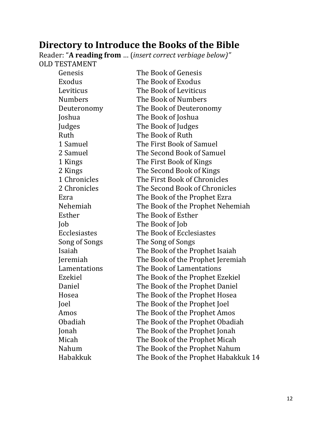## **Directory to Introduce the Books of the Bible**

Reader: "**A reading from** … (*insert correct verbiage below)"*  OLD TESTAMENT

| Genesis        | The Book of Genesis                 |
|----------------|-------------------------------------|
| Exodus         | The Book of Exodus                  |
| Leviticus      | The Book of Leviticus               |
| <b>Numbers</b> | The Book of Numbers                 |
| Deuteronomy    | The Book of Deuteronomy             |
| Joshua         | The Book of Joshua                  |
| Judges         | The Book of Judges                  |
| Ruth           | The Book of Ruth                    |
| 1 Samuel       | The First Book of Samuel            |
| 2 Samuel       | The Second Book of Samuel           |
| 1 Kings        | The First Book of Kings             |
| 2 Kings        | The Second Book of Kings            |
| 1 Chronicles   | The First Book of Chronicles        |
| 2 Chronicles   | The Second Book of Chronicles       |
| Ezra           | The Book of the Prophet Ezra        |
| Nehemiah       | The Book of the Prophet Nehemiah    |
| Esther         | The Book of Esther                  |
| Job            | The Book of Job                     |
| Ecclesiastes   | The Book of Ecclesiastes            |
| Song of Songs  | The Song of Songs                   |
| Isaiah         | The Book of the Prophet Isaiah      |
| Jeremiah       | The Book of the Prophet Jeremiah    |
| Lamentations   | The Book of Lamentations            |
| Ezekiel        | The Book of the Prophet Ezekiel     |
| Daniel         | The Book of the Prophet Daniel      |
| Hosea          | The Book of the Prophet Hosea       |
| Joel           | The Book of the Prophet Joel        |
| Amos           | The Book of the Prophet Amos        |
| Obadiah        | The Book of the Prophet Obadiah     |
| Jonah          | The Book of the Prophet Jonah       |
| Micah          | The Book of the Prophet Micah       |
| Nahum          | The Book of the Prophet Nahum       |
| Habakkuk       | The Book of the Prophet Habakkuk 14 |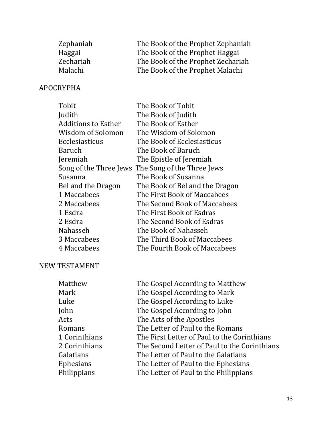| Zephaniah | The Book of the Prophet Zephaniah |
|-----------|-----------------------------------|
| Haggai    | The Book of the Prophet Haggai    |
| Zechariah | The Book of the Prophet Zechariah |
| Malachi   | The Book of the Prophet Malachi   |

## APOCRYPHA

| Tobit                      | The Book of Tobit                                 |
|----------------------------|---------------------------------------------------|
| Judith                     | The Book of Judith                                |
| <b>Additions to Esther</b> | The Book of Esther                                |
| Wisdom of Solomon          | The Wisdom of Solomon                             |
| Ecclesiasticus             | The Book of Ecclesiasticus                        |
| Baruch                     | The Book of Baruch                                |
| Jeremiah                   | The Epistle of Jeremiah                           |
|                            | Song of the Three Jews The Song of the Three Jews |
| Susanna                    | The Book of Susanna                               |
| Bel and the Dragon         | The Book of Bel and the Dragon                    |
| 1 Maccabees                | The First Book of Maccabees                       |
| 2 Maccabees                | The Second Book of Maccabees                      |
| 1 Esdra                    | The First Book of Esdras                          |
| 2 Esdra                    | The Second Book of Esdras                         |
| Nahasseh                   | The Book of Nahasseh                              |
| 3 Maccabees                | The Third Book of Maccabees                       |
| 4 Maccabees                | The Fourth Book of Maccabees                      |

#### NEW TESTAMENT

| Matthew          | The Gospel According to Matthew              |
|------------------|----------------------------------------------|
| Mark             | The Gospel According to Mark                 |
| Luke             | The Gospel According to Luke                 |
| John             | The Gospel According to John                 |
| Acts             | The Acts of the Apostles                     |
| Romans           | The Letter of Paul to the Romans             |
| 1 Corinthians    | The First Letter of Paul to the Corinthians  |
| 2 Corinthians    | The Second Letter of Paul to the Corinthians |
| Galatians        | The Letter of Paul to the Galatians          |
| <b>Ephesians</b> | The Letter of Paul to the Ephesians          |
| Philippians      | The Letter of Paul to the Philippians        |
|                  |                                              |